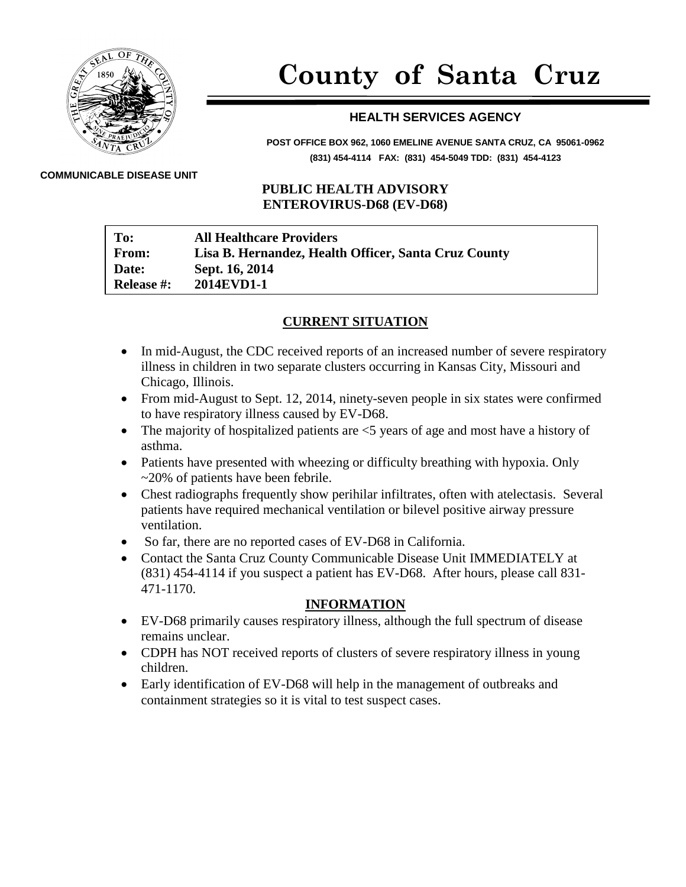

# **County of Santa Cruz**

## **HEALTH SERVICES AGENCY**

**POST OFFICE BOX 962, 1060 EMELINE AVENUE SANTA CRUZ, CA 95061-0962 (831) 454-4114 FAX: (831) 454-5049 TDD: (831) 454-4123**

#### **COMMUNICABLE DISEASE UNIT**

### **PUBLIC HEALTH ADVISORY ENTEROVIRUS-D68 (EV-D68)**

| To:               | <b>All Healthcare Providers</b>                      |
|-------------------|------------------------------------------------------|
| <b>From:</b>      | Lisa B. Hernandez, Health Officer, Santa Cruz County |
| Date:             | Sept. 16, 2014                                       |
| <b>Release #:</b> | 2014EVD1-1                                           |

### **CURRENT SITUATION**

- In mid-August, the CDC received reports of an increased number of severe respiratory illness in children in two separate clusters occurring in Kansas City, Missouri and Chicago, Illinois.
- From mid-August to Sept. 12, 2014, ninety-seven people in six states were confirmed to have respiratory illness caused by EV-D68.
- The majority of hospitalized patients are  $\leq$  years of age and most have a history of asthma.
- Patients have presented with wheezing or difficulty breathing with hypoxia. Only ~20% of patients have been febrile.
- Chest radiographs frequently show perihilar infiltrates, often with atelectasis. Several patients have required mechanical ventilation or bilevel positive airway pressure ventilation.
- So far, there are no reported cases of EV-D68 in California.
- Contact the Santa Cruz County Communicable Disease Unit IMMEDIATELY at (831) 454-4114 if you suspect a patient has EV-D68. After hours, please call 831- 471-1170.

#### **INFORMATION**

- EV-D68 primarily causes respiratory illness, although the full spectrum of disease remains unclear.
- CDPH has NOT received reports of clusters of severe respiratory illness in young children.
- Early identification of EV-D68 will help in the management of outbreaks and containment strategies so it is vital to test suspect cases.